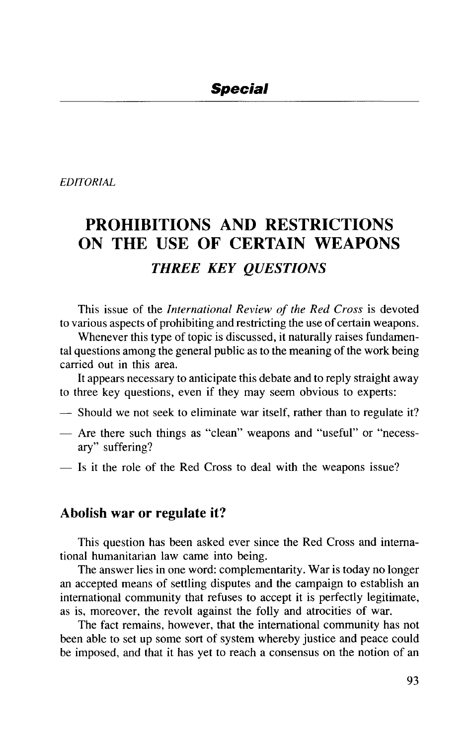*EDITORIAL*

# PROHIBITIONS AND RESTRICTIONS ON THE USE OF CERTAIN WEAPONS *THREE KEY QUESTIONS*

This issue of the *International Review of the Red Cross* is devoted to various aspects of prohibiting and restricting the use of certain weapons.

Whenever this type of topic is discussed, it naturally raises fundamental questions among the general public as to the meaning of the work being carried out in this area.

It appears necessary to anticipate this debate and to reply straight away to three key questions, even if they may seem obvious to experts:

- Should we not seek to eliminate war itself, rather than to regulate it?
- Are there such things as "clean" weapons and "useful" or "necessary" suffering?
- Is it the role of the Red Cross to deal with the weapons issue?

## Abolish war or regulate it?

This question has been asked ever since the Red Cross and international humanitarian law came into being.

The answer lies in one word: complementarity. War is today no longer an accepted means of settling disputes and the campaign to establish an international community that refuses to accept it is perfectly legitimate, as is, moreover, the revolt against the folly and atrocities of war.

The fact remains, however, that the international community has not been able to set up some sort of system whereby justice and peace could be imposed, and that it has yet to reach a consensus on the notion of an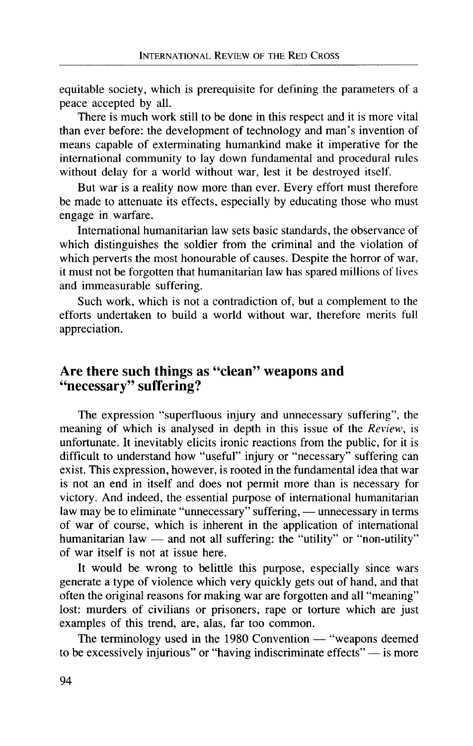equitable society, which is prerequisite for defining the parameters of a peace accepted by all.

There is much work still to be done in this respect and it is more vital than ever before: the development of technology and man's invention of means capable of exterminating humankind make it imperative for the international community to lay down fundamental and procedural rules without delay for a world without war, lest it be destroyed itself.

But war is a reality now more than ever. Every effort must therefore be made to attenuate its effects, especially by educating those who must engage in warfare.

International humanitarian law sets basic standards, the observance of which distinguishes the soldier from the criminal and the violation of which perverts the most honourable of causes. Despite the horror of war, it must not be forgotten that humanitarian law has spared millions of lives and immeasurable suffering.

Such work, which is not a contradiction of, but a complement to the efforts undertaken to build a world without war, therefore merits full appreciation.

## Are there such things as "clean" weapons and "necessary" suffering?

The expression "superfluous injury and unnecessary suffering", the meaning of which is analysed in depth in this issue of the *Review,* is unfortunate. It inevitably elicits ironic reactions from the public, for it is difficult to understand how "useful" injury or "necessary" suffering can exist. This expression, however, is rooted in the fundamental idea that war is not an end in itself and does not permit more than is necessary for victory. And indeed, the essential purpose of international humanitarian law may be to eliminate "unnecessary" suffering, — unnecessary in terms of war of course, which is inherent in the application of international humanitarian law — and not all suffering: the "utility" or "non-utility" of war itself is not at issue here.

It would be wrong to belittle this purpose, especially since wars generate a type of violence which very quickly gets out of hand, and that often the original reasons for making war are forgotten and all "meaning" lost: murders of civilians or prisoners, rape or torture which are just examples of this trend, are, alas, far too common.

The terminology used in the 1980 Convention — "weapons deemed to be excessively injurious" or "having indiscriminate effects" — is more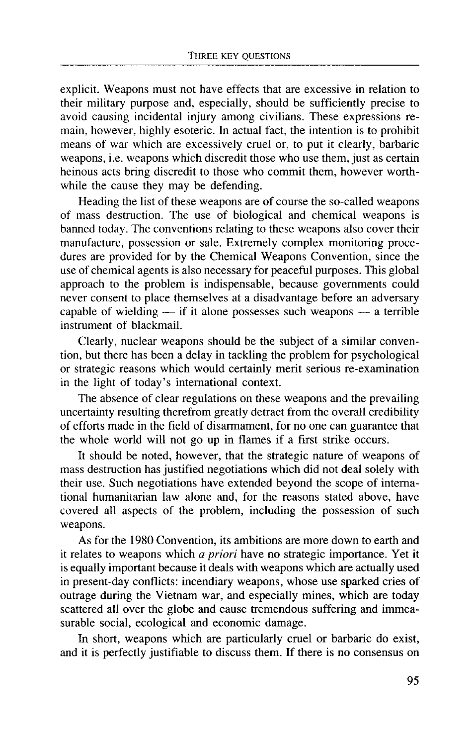explicit. Weapons must not have effects that are excessive in relation to their military purpose and, especially, should be sufficiently precise to avoid causing incidental injury among civilians. These expressions remain, however, highly esoteric. In actual fact, the intention is to prohibit means of war which are excessively cruel or, to put it clearly, barbaric weapons, i.e. weapons which discredit those who use them, just as certain heinous acts bring discredit to those who commit them, however worthwhile the cause they may be defending.

Heading the list of these weapons are of course the so-called weapons of mass destruction. The use of biological and chemical weapons is banned today. The conventions relating to these weapons also cover their manufacture, possession or sale. Extremely complex monitoring procedures are provided for by the Chemical Weapons Convention, since the use of chemical agents is also necessary for peaceful purposes. This global approach to the problem is indispensable, because governments could never consent to place themselves at a disadvantage before an adversary capable of wielding — if it alone possesses such weapons — a terrible instrument of blackmail.

Clearly, nuclear weapons should be the subject of a similar convention, but there has been a delay in tackling the problem for psychological or strategic reasons which would certainly merit serious re-examination in the light of today's international context.

The absence of clear regulations on these weapons and the prevailing uncertainty resulting therefrom greatly detract from the overall credibility of efforts made in the field of disarmament, for no one can guarantee that the whole world will not go up in flames if a first strike occurs.

It should be noted, however, that the strategic nature of weapons of mass destruction has justified negotiations which did not deal solely with their use. Such negotiations have extended beyond the scope of international humanitarian law alone and, for the reasons stated above, have covered all aspects of the problem, including the possession of such weapons.

As for the 1980 Convention, its ambitions are more down to earth and it relates to weapons which *a priori* have no strategic importance. Yet it is equally important because it deals with weapons which are actually used in present-day conflicts: incendiary weapons, whose use sparked cries of outrage during the Vietnam war, and especially mines, which are today scattered all over the globe and cause tremendous suffering and immeasurable social, ecological and economic damage.

In short, weapons which are particularly cruel or barbaric do exist, and it is perfectly justifiable to discuss them. If there is no consensus on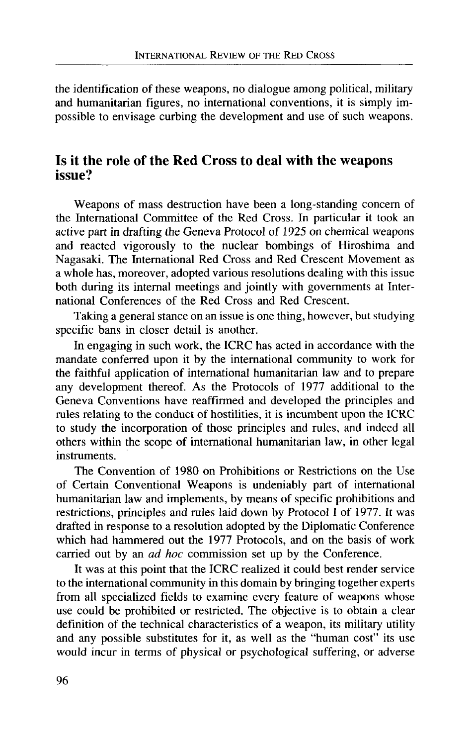the identification of these weapons, no dialogue among political, military and humanitarian figures, no international conventions, it is simply impossible to envisage curbing the development and use of such weapons.

## Is it the role of the Red Cross to deal with the weapons issue?

Weapons of mass destruction have been a long-standing concern of the International Committee of the Red Cross. In particular it took an active part in drafting the Geneva Protocol of 1925 on chemical weapons and reacted vigorously to the nuclear bombings of Hiroshima and Nagasaki. The International Red Cross and Red Crescent Movement as a whole has, moreover, adopted various resolutions dealing with this issue both during its internal meetings and jointly with governments at International Conferences of the Red Cross and Red Crescent.

Taking a general stance on an issue is one thing, however, but studying specific bans in closer detail is another.

In engaging in such work, the ICRC has acted in accordance with the mandate conferred upon it by the international community to work for the faithful application of international humanitarian law and to prepare any development thereof. As the Protocols of 1977 additional to the Geneva Conventions have reaffirmed and developed the principles and rules relating to the conduct of hostilities, it is incumbent upon the ICRC to study the incorporation of those principles and rules, and indeed all others within the scope of international humanitarian law, in other legal instruments.

The Convention of 1980 on Prohibitions or Restrictions on the Use of Certain Conventional Weapons is undeniably part of international humanitarian law and implements, by means of specific prohibitions and restrictions, principles and rules laid down by Protocol I of 1977. It was drafted in response to a resolution adopted by the Diplomatic Conference which had hammered out the 1977 Protocols, and on the basis of work carried out by an *ad hoc* commission set up by the Conference.

It was at this point that the ICRC realized it could best render service to the international community in this domain by bringing together experts from all specialized fields to examine every feature of weapons whose use could be prohibited or restricted. The objective is to obtain a clear definition of the technical characteristics of a weapon, its military utility and any possible substitutes for it, as well as the "human cost" its use would incur in terms of physical or psychological suffering, or adverse